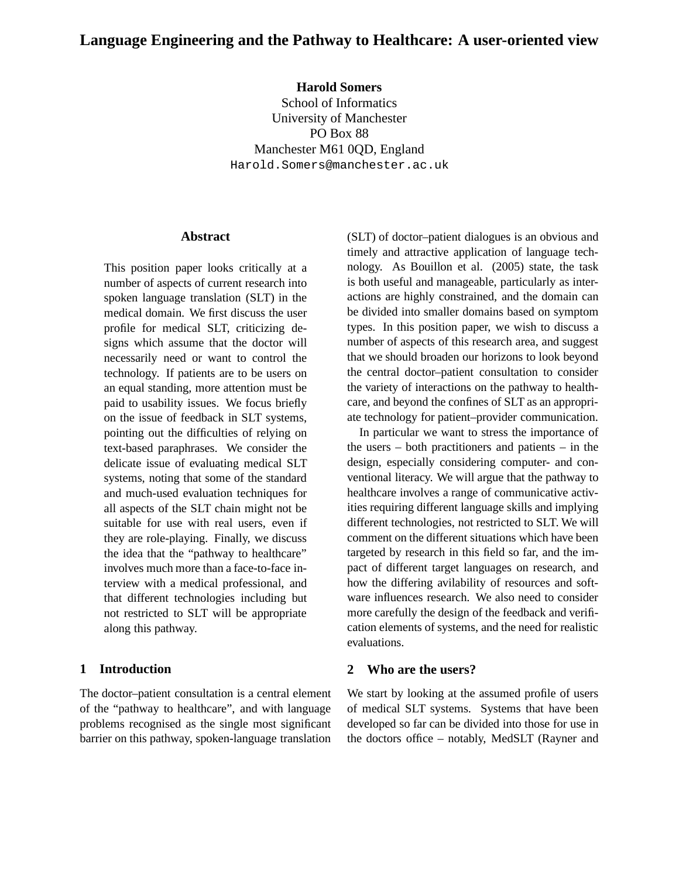# **Language Engineering and the Pathway to Healthcare: A user-oriented view**

## **Harold Somers**

School of Informatics University of Manchester PO Box 88 Manchester M61 0QD, England Harold.Somers@manchester.ac.uk

#### **Abstract**

This position paper looks critically at a number of aspects of current research into spoken language translation (SLT) in the medical domain. We first discuss the user profile for medical SLT, criticizing designs which assume that the doctor will necessarily need or want to control the technology. If patients are to be users on an equal standing, more attention must be paid to usability issues. We focus briefly on the issue of feedback in SLT systems, pointing out the difficulties of relying on text-based paraphrases. We consider the delicate issue of evaluating medical SLT systems, noting that some of the standard and much-used evaluation techniques for all aspects of the SLT chain might not be suitable for use with real users, even if they are role-playing. Finally, we discuss the idea that the "pathway to healthcare" involves much more than a face-to-face interview with a medical professional, and that different technologies including but not restricted to SLT will be appropriate along this pathway.

#### **1 Introduction**

The doctor–patient consultation is a central element of the "pathway to healthcare", and with language problems recognised as the single most significant barrier on this pathway, spoken-language translation (SLT) of doctor–patient dialogues is an obvious and timely and attractive application of language technology. As Bouillon et al. (2005) state, the task is both useful and manageable, particularly as interactions are highly constrained, and the domain can be divided into smaller domains based on symptom types. In this position paper, we wish to discuss a number of aspects of this research area, and suggest that we should broaden our horizons to look beyond the central doctor–patient consultation to consider the variety of interactions on the pathway to healthcare, and beyond the confines of SLT as an appropriate technology for patient–provider communication.

In particular we want to stress the importance of the users – both practitioners and patients – in the design, especially considering computer- and conventional literacy. We will argue that the pathway to healthcare involves a range of communicative activities requiring different language skills and implying different technologies, not restricted to SLT. We will comment on the different situations which have been targeted by research in this field so far, and the impact of different target languages on research, and how the differing avilability of resources and software influences research. We also need to consider more carefully the design of the feedback and verification elements of systems, and the need for realistic evaluations.

#### **2 Who are the users?**

We start by looking at the assumed profile of users of medical SLT systems. Systems that have been developed so far can be divided into those for use in the doctors office – notably, MedSLT (Rayner and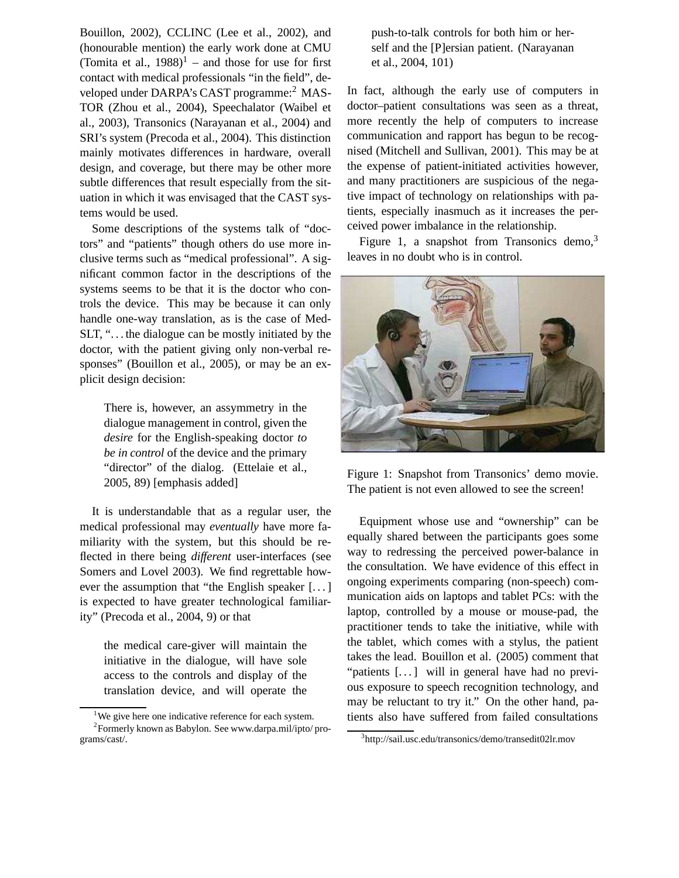Bouillon, 2002), CCLINC (Lee et al., 2002), and (honourable mention) the early work done at CMU (Tomita et al.,  $1988$ )<sup>1</sup> – and those for use for first contact with medical professionals "in the field", developed under DARPA's CAST programme:<sup>2</sup> MAS-TOR (Zhou et al., 2004), Speechalator (Waibel et al., 2003), Transonics (Narayanan et al., 2004) and SRI's system (Precoda et al., 2004). This distinction mainly motivates differences in hardware, overall design, and coverage, but there may be other more subtle differences that result especially from the situation in which it was envisaged that the CAST systems would be used.

Some descriptions of the systems talk of "doctors" and "patients" though others do use more inclusive terms such as "medical professional". A significant common factor in the descriptions of the systems seems to be that it is the doctor who controls the device. This may be because it can only handle one-way translation, as is the case of Med-SLT, ". . . the dialogue can be mostly initiated by the doctor, with the patient giving only non-verbal responses" (Bouillon et al., 2005), or may be an explicit design decision:

There is, however, an assymmetry in the dialogue management in control, given the *desire* for the English-speaking doctor *to be in control* of the device and the primary "director" of the dialog. (Ettelaie et al., 2005, 89) [emphasis added]

It is understandable that as a regular user, the medical professional may *eventually* have more familiarity with the system, but this should be reflected in there being *different* user-interfaces (see Somers and Lovel 2003). We find regrettable however the assumption that "the English speaker [. . . ] is expected to have greater technological familiarity" (Precoda et al., 2004, 9) or that

the medical care-giver will maintain the initiative in the dialogue, will have sole access to the controls and display of the translation device, and will operate the push-to-talk controls for both him or herself and the [P]ersian patient. (Narayanan et al., 2004, 101)

In fact, although the early use of computers in doctor–patient consultations was seen as a threat, more recently the help of computers to increase communication and rapport has begun to be recognised (Mitchell and Sullivan, 2001). This may be at the expense of patient-initiated activities however, and many practitioners are suspicious of the negative impact of technology on relationships with patients, especially inasmuch as it increases the perceived power imbalance in the relationship.

Figure 1, a snapshot from Transonics demo, $3$ leaves in no doubt who is in control.



Figure 1: Snapshot from Transonics' demo movie. The patient is not even allowed to see the screen!

Equipment whose use and "ownership" can be equally shared between the participants goes some way to redressing the perceived power-balance in the consultation. We have evidence of this effect in ongoing experiments comparing (non-speech) communication aids on laptops and tablet PCs: with the laptop, controlled by a mouse or mouse-pad, the practitioner tends to take the initiative, while with the tablet, which comes with a stylus, the patient takes the lead. Bouillon et al. (2005) comment that "patients [...] will in general have had no previous exposure to speech recognition technology, and may be reluctant to try it." On the other hand, patients also have suffered from failed consultations

<sup>&</sup>lt;sup>1</sup>We give here one indicative reference for each system. <sup>2</sup> Formerly known as Babylon. See www.darpa.mil/ipto/programs/cast/.

<sup>3</sup> http://sail.usc.edu/transonics/demo/transedit02lr.mov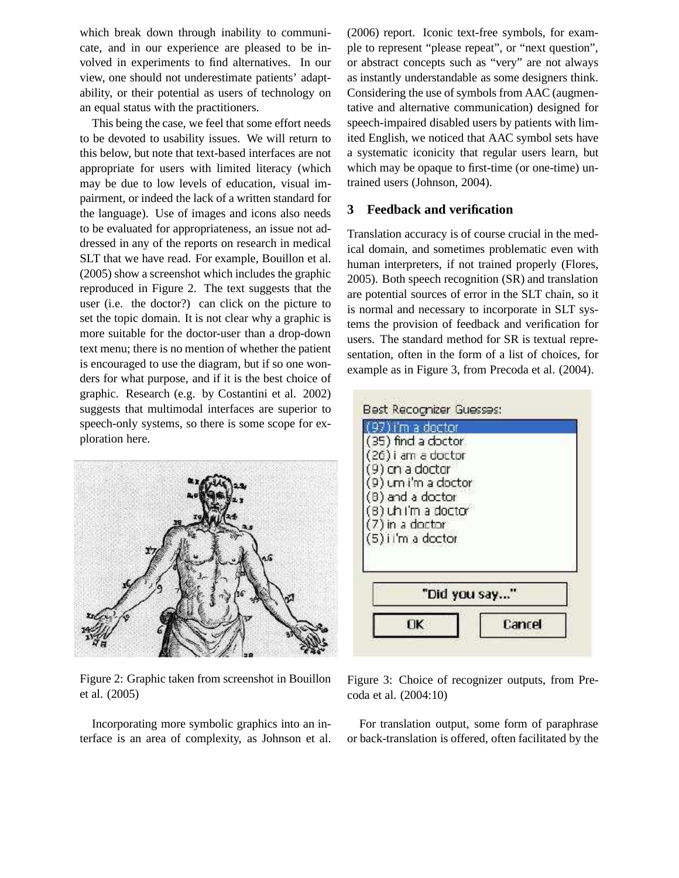which break down through inability to communicate, and in our experience are pleased to be involved in experiments to find alternatives. In our view, one should not underestimate patients' adaptability, or their potential as users of technology on an equal status with the practitioners.

This being the case, we feel that some effort needs to be devoted to usability issues. We will return to this below, but note that text-based interfaces are not appropriate for users with limited literacy (which may be due to low levels of education, visual impairment, or indeed the lack of a written standard for the language). Use of images and icons also needs to be evaluated for appropriateness, an issue not addressed in any of the reports on research in medical SLT that we have read. For example, Bouillon et al. (2005) show a screenshot which includes the graphic reproduced in Figure 2. The text suggests that the user (i.e. the doctor?) can click on the picture to set the topic domain. It is not clear why a graphic is more suitable for the doctor-user than a drop-down text menu; there is no mention of whether the patient is encouraged to use the diagram, but if so one wonders for what purpose, and if it is the best choice of graphic. Research (e.g. by Costantini et al. 2002) suggests that multimodal interfaces are superior to speech-only systems, so there is some scope for exploration here.



Figure 2: Graphic taken from screenshot in Bouillon et al. (2005)

Incorporating more symbolic graphics into an interface is an area of complexity, as Johnson et al. (2006) report. Iconic text-free symbols, for example to represent "please repeat", or "next question", or abstract concepts such as "very" are not always as instantly understandable as some designers think. Considering the use of symbols from AAC (augmentative and alternative communication) designed for speech-impaired disabled users by patients with limited English, we noticed that AAC symbol sets have a systematic iconicity that regular users learn, but which may be opaque to first-time (or one-time) untrained users (Johnson, 2004).

### **3 Feedback and verification**

Translation accuracy is of course crucial in the medical domain, and sometimes problematic even with human interpreters, if not trained properly (Flores, 2005). Both speech recognition (SR) and translation are potential sources of error in the SLT chain, so it is normal and necessary to incorporate in SLT systems the provision of feedback and verification for users. The standard method for SR is textual representation, often in the form of a list of choices, for example as in Figure 3, from Precoda et al. (2004).

| i'm a doctor<br>(35) find a doctor<br>(26) i am a doctor<br>9) on a doctor<br>9) um i'm a doctor |              |
|--------------------------------------------------------------------------------------------------|--------------|
| (B) and a doctor<br>B) uh i'm a doctor<br>7) in a doctor<br>(5) i i'm a doctor                   |              |
|                                                                                                  | "Did you say |
|                                                                                                  |              |

Figure 3: Choice of recognizer outputs, from Precoda et al. (2004:10)

For translation output, some form of paraphrase or back-translation is offered, often facilitated by the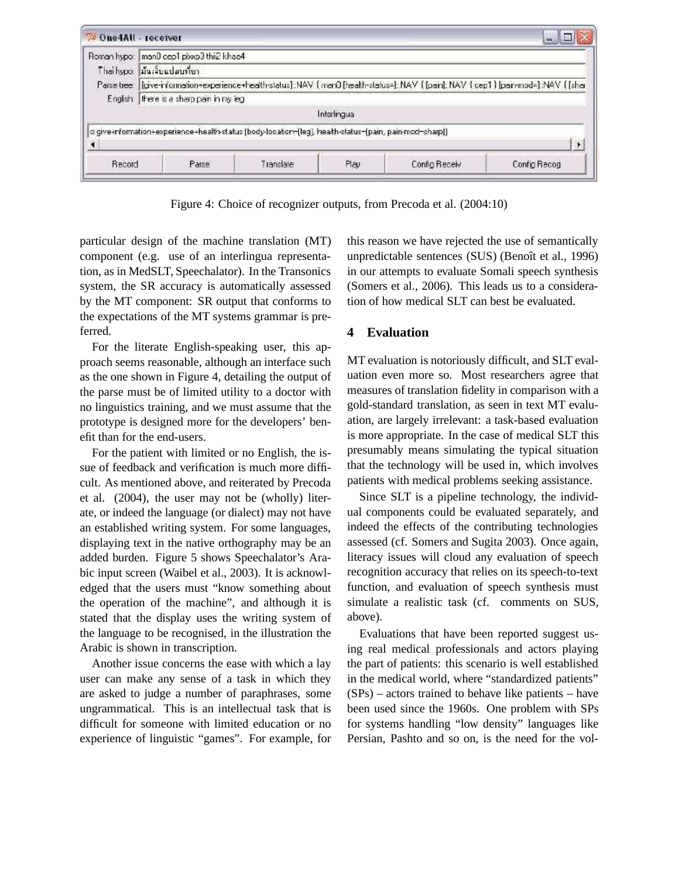|  | Roman hypo: man0 cep1 plwp3 thi2 khao4<br>Thaihypo. มันเงินแปลบที่ยา.                                                           |  |              |  |                       |  |  |
|--|---------------------------------------------------------------------------------------------------------------------------------|--|--------------|--|-----------------------|--|--|
|  |                                                                                                                                 |  |              |  |                       |  |  |
|  | Parse tree: [give-information-experience-health-status]:NAV {men0 [health-status=]:NAV {[pan]:NAV {cep1 } [pan-mod=]:NAV {[shar |  |              |  |                       |  |  |
|  | English: there is a sharp pain in my leg                                                                                        |  |              |  |                       |  |  |
|  |                                                                                                                                 |  | Interlingual |  |                       |  |  |
|  | c give-information+experience+health-status (body-locaton-(leg), health-status-(pain, pain-mod-sharp))                          |  |              |  |                       |  |  |
|  |                                                                                                                                 |  |              |  | $\blacktriangleright$ |  |  |
|  |                                                                                                                                 |  | Play         |  |                       |  |  |

Figure 4: Choice of recognizer outputs, from Precoda et al. (2004:10)

particular design of the machine translation (MT) component (e.g. use of an interlingua representation, as in MedSLT, Speechalator). In the Transonics system, the SR accuracy is automatically assessed by the MT component: SR output that conforms to the expectations of the MT systems grammar is preferred.

For the literate English-speaking user, this approach seems reasonable, although an interface such as the one shown in Figure 4, detailing the output of the parse must be of limited utility to a doctor with no linguistics training, and we must assume that the prototype is designed more for the developers' benefit than for the end-users.

For the patient with limited or no English, the issue of feedback and verification is much more difficult. As mentioned above, and reiterated by Precoda et al. (2004), the user may not be (wholly) literate, or indeed the language (or dialect) may not have an established writing system. For some languages, displaying text in the native orthography may be an added burden. Figure 5 shows Speechalator's Arabic input screen (Waibel et al., 2003). It is acknowledged that the users must "know something about the operation of the machine", and although it is stated that the display uses the writing system of the language to be recognised, in the illustration the Arabic is shown in transcription.

Another issue concerns the ease with which a lay user can make any sense of a task in which they are asked to judge a number of paraphrases, some ungrammatical. This is an intellectual task that is difficult for someone with limited education or no experience of linguistic "games". For example, for this reason we have rejected the use of semantically unpredictable sentences (SUS) (Benoît et al., 1996) in our attempts to evaluate Somali speech synthesis (Somers et al., 2006). This leads us to a consideration of how medical SLT can best be evaluated.

## **4 Evaluation**

MT evaluation is notoriously difficult, and SLT evaluation even more so. Most researchers agree that measures of translation fidelity in comparison with a gold-standard translation, as seen in text MT evaluation, are largely irrelevant: a task-based evaluation is more appropriate. In the case of medical SLT this presumably means simulating the typical situation that the technology will be used in, which involves patients with medical problems seeking assistance.

Since SLT is a pipeline technology, the individual components could be evaluated separately, and indeed the effects of the contributing technologies assessed (cf. Somers and Sugita 2003). Once again, literacy issues will cloud any evaluation of speech recognition accuracy that relies on its speech-to-text function, and evaluation of speech synthesis must simulate a realistic task (cf. comments on SUS, above).

Evaluations that have been reported suggest using real medical professionals and actors playing the part of patients: this scenario is well established in the medical world, where "standardized patients" (SPs) – actors trained to behave like patients – have been used since the 1960s. One problem with SPs for systems handling "low density" languages like Persian, Pashto and so on, is the need for the vol-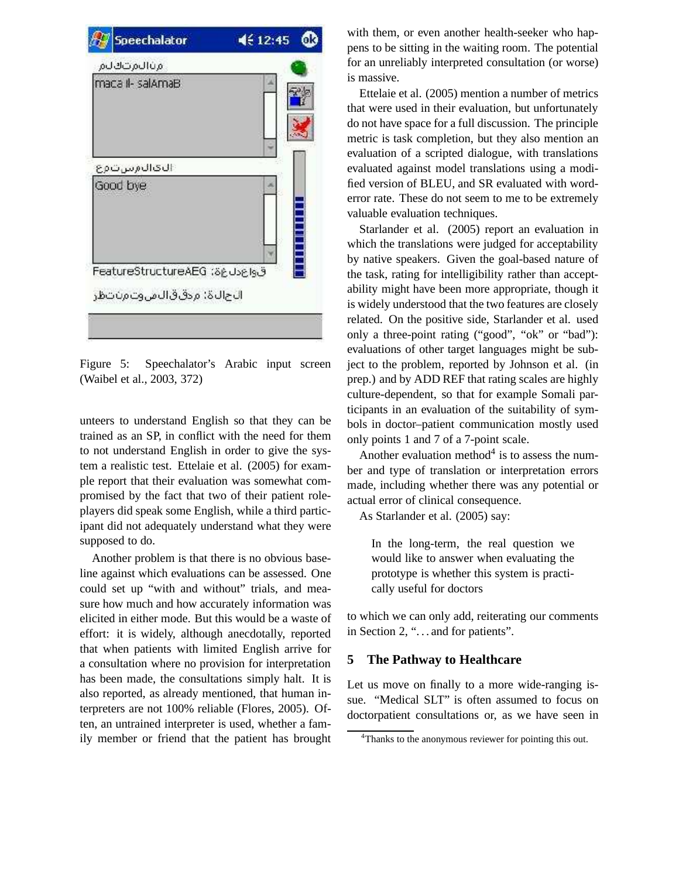

Figure 5: Speechalator's Arabic input screen (Waibel et al., 2003, 372)

unteers to understand English so that they can be trained as an SP, in conflict with the need for them to not understand English in order to give the system a realistic test. Ettelaie et al. (2005) for example report that their evaluation was somewhat compromised by the fact that two of their patient roleplayers did speak some English, while a third participant did not adequately understand what they were supposed to do.

Another problem is that there is no obvious baseline against which evaluations can be assessed. One could set up "with and without" trials, and measure how much and how accurately information was elicited in either mode. But this would be a waste of effort: it is widely, although anecdotally, reported that when patients with limited English arrive for a consultation where no provision for interpretation has been made, the consultations simply halt. It is also reported, as already mentioned, that human interpreters are not 100% reliable (Flores, 2005). Often, an untrained interpreter is used, whether a family member or friend that the patient has brought

with them, or even another health-seeker who happens to be sitting in the waiting room. The potential for an unreliably interpreted consultation (or worse) is massive.

Ettelaie et al. (2005) mention a number of metrics that were used in their evaluation, but unfortunately do not have space for a full discussion. The principle metric is task completion, but they also mention an evaluation of a scripted dialogue, with translations evaluated against model translations using a modified version of BLEU, and SR evaluated with worderror rate. These do not seem to me to be extremely valuable evaluation techniques.

Starlander et al. (2005) report an evaluation in which the translations were judged for acceptability by native speakers. Given the goal-based nature of the task, rating for intelligibility rather than acceptability might have been more appropriate, though it is widely understood that the two features are closely related. On the positive side, Starlander et al. used only a three-point rating ("good", "ok" or "bad"): evaluations of other target languages might be subject to the problem, reported by Johnson et al. (in prep.) and by ADD REF that rating scales are highly culture-dependent, so that for example Somali participants in an evaluation of the suitability of symbols in doctor–patient communication mostly used only points 1 and 7 of a 7-point scale.

Another evaluation method $4$  is to assess the number and type of translation or interpretation errors made, including whether there was any potential or actual error of clinical consequence.

As Starlander et al. (2005) say:

In the long-term, the real question we would like to answer when evaluating the prototype is whether this system is practically useful for doctors

to which we can only add, reiterating our comments in Section 2, ". . . and for patients".

## **5 The Pathway to Healthcare**

Let us move on finally to a more wide-ranging issue. "Medical SLT" is often assumed to focus on doctorpatient consultations or, as we have seen in

<sup>&</sup>lt;sup>4</sup>Thanks to the anonymous reviewer for pointing this out.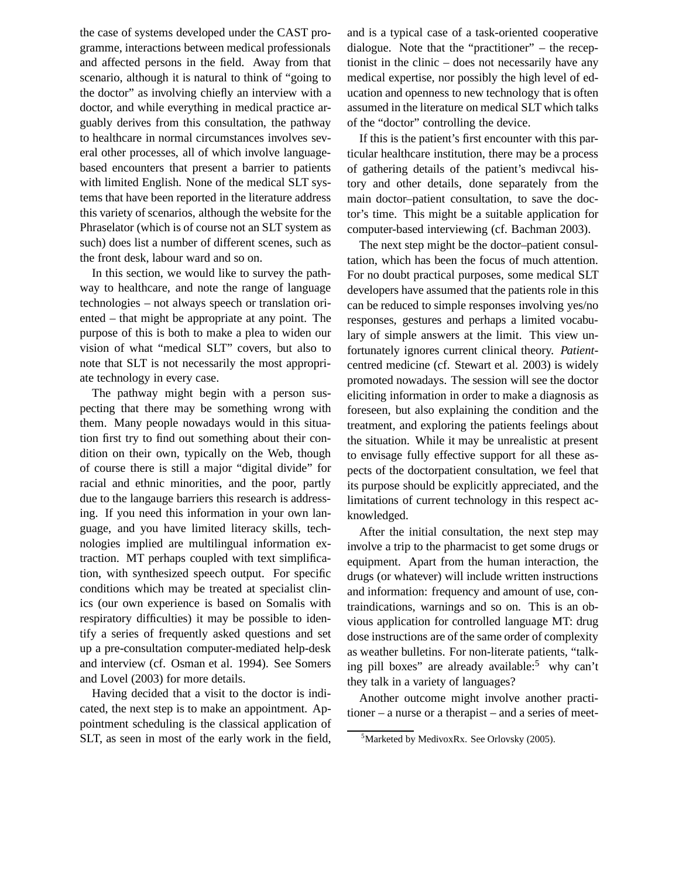the case of systems developed under the CAST programme, interactions between medical professionals and affected persons in the field. Away from that scenario, although it is natural to think of "going to the doctor" as involving chiefly an interview with a doctor, and while everything in medical practice arguably derives from this consultation, the pathway to healthcare in normal circumstances involves several other processes, all of which involve languagebased encounters that present a barrier to patients with limited English. None of the medical SLT systems that have been reported in the literature address this variety of scenarios, although the website for the Phraselator (which is of course not an SLT system as such) does list a number of different scenes, such as the front desk, labour ward and so on.

In this section, we would like to survey the pathway to healthcare, and note the range of language technologies – not always speech or translation oriented – that might be appropriate at any point. The purpose of this is both to make a plea to widen our vision of what "medical SLT" covers, but also to note that SLT is not necessarily the most appropriate technology in every case.

The pathway might begin with a person suspecting that there may be something wrong with them. Many people nowadays would in this situation first try to find out something about their condition on their own, typically on the Web, though of course there is still a major "digital divide" for racial and ethnic minorities, and the poor, partly due to the langauge barriers this research is addressing. If you need this information in your own language, and you have limited literacy skills, technologies implied are multilingual information extraction. MT perhaps coupled with text simplification, with synthesized speech output. For specific conditions which may be treated at specialist clinics (our own experience is based on Somalis with respiratory difficulties) it may be possible to identify a series of frequently asked questions and set up a pre-consultation computer-mediated help-desk and interview (cf. Osman et al. 1994). See Somers and Lovel (2003) for more details.

Having decided that a visit to the doctor is indicated, the next step is to make an appointment. Appointment scheduling is the classical application of SLT, as seen in most of the early work in the field,

and is a typical case of a task-oriented cooperative dialogue. Note that the "practitioner" – the receptionist in the clinic – does not necessarily have any medical expertise, nor possibly the high level of education and openness to new technology that is often assumed in the literature on medical SLT which talks of the "doctor" controlling the device.

If this is the patient's first encounter with this particular healthcare institution, there may be a process of gathering details of the patient's medivcal history and other details, done separately from the main doctor–patient consultation, to save the doctor's time. This might be a suitable application for computer-based interviewing (cf. Bachman 2003).

The next step might be the doctor–patient consultation, which has been the focus of much attention. For no doubt practical purposes, some medical SLT developers have assumed that the patients role in this can be reduced to simple responses involving yes/no responses, gestures and perhaps a limited vocabulary of simple answers at the limit. This view unfortunately ignores current clinical theory. *Patient*centred medicine (cf. Stewart et al. 2003) is widely promoted nowadays. The session will see the doctor eliciting information in order to make a diagnosis as foreseen, but also explaining the condition and the treatment, and exploring the patients feelings about the situation. While it may be unrealistic at present to envisage fully effective support for all these aspects of the doctorpatient consultation, we feel that its purpose should be explicitly appreciated, and the limitations of current technology in this respect acknowledged.

After the initial consultation, the next step may involve a trip to the pharmacist to get some drugs or equipment. Apart from the human interaction, the drugs (or whatever) will include written instructions and information: frequency and amount of use, contraindications, warnings and so on. This is an obvious application for controlled language MT: drug dose instructions are of the same order of complexity as weather bulletins. For non-literate patients, "talking pill boxes" are already available:<sup>5</sup> why can't they talk in a variety of languages?

Another outcome might involve another practitioner – a nurse or a therapist – and a series of meet-

 $5$ Marketed by MedivoxRx. See Orlovsky (2005).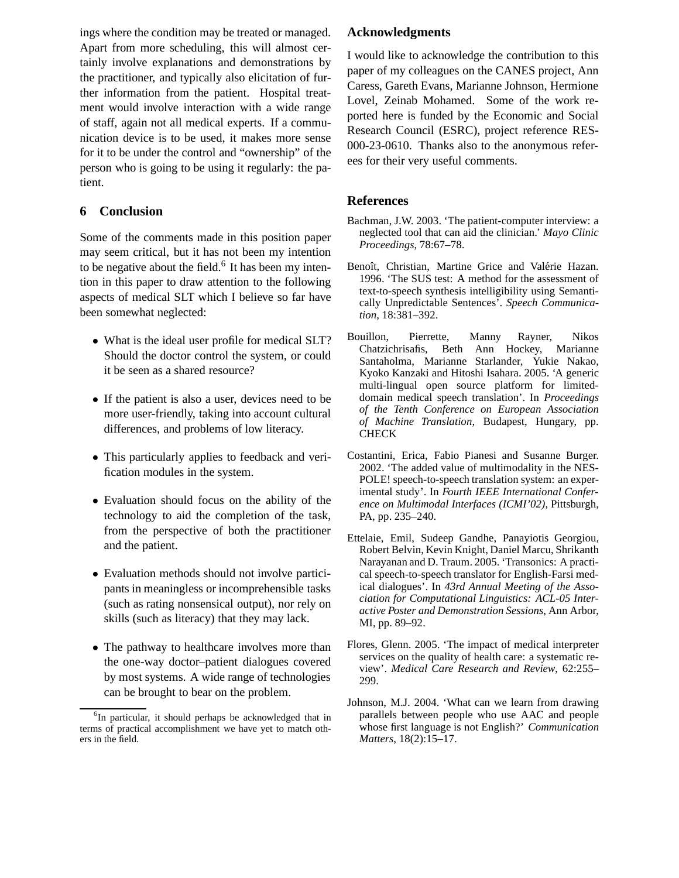ings where the condition may be treated or managed. Apart from more scheduling, this will almost certainly involve explanations and demonstrations by the practitioner, and typically also elicitation of further information from the patient. Hospital treatment would involve interaction with a wide range of staff, again not all medical experts. If a communication device is to be used, it makes more sense for it to be under the control and "ownership" of the person who is going to be using it regularly: the patient.

## **6 Conclusion**

Some of the comments made in this position paper may seem critical, but it has not been my intention to be negative about the field. $6$  It has been my intention in this paper to draw attention to the following aspects of medical SLT which I believe so far have been somewhat neglected:

- What is the ideal user profile for medical SLT? Should the doctor control the system, or could it be seen as a shared resource?
- If the patient is also a user, devices need to be more user-friendly, taking into account cultural differences, and problems of low literacy.
- This particularly applies to feedback and verification modules in the system.
- Evaluation should focus on the ability of the technology to aid the completion of the task, from the perspective of both the practitioner and the patient.
- Evaluation methods should not involve participants in meaningless or incomprehensible tasks (such as rating nonsensical output), nor rely on skills (such as literacy) that they may lack.
- The pathway to healthcare involves more than the one-way doctor–patient dialogues covered by most systems. A wide range of technologies can be brought to bear on the problem.

### **Acknowledgments**

I would like to acknowledge the contribution to this paper of my colleagues on the CANES project, Ann Caress, Gareth Evans, Marianne Johnson, Hermione Lovel, Zeinab Mohamed. Some of the work reported here is funded by the Economic and Social Research Council (ESRC), project reference RES-000-23-0610. Thanks also to the anonymous referees for their very useful comments.

## **References**

- Bachman, J.W. 2003. 'The patient-computer interview: a neglected tool that can aid the clinician.' *Mayo Clinic Proceedings*, 78:67–78.
- Benoît, Christian, Martine Grice and Valérie Hazan. 1996. 'The SUS test: A method for the assessment of text-to-speech synthesis intelligibility using Semantically Unpredictable Sentences'. *Speech Communication*, 18:381–392.
- Bouillon, Pierrette, Manny Rayner, Nikos Chatzichrisafis, Beth Ann Hockey, Marianne Santaholma, Marianne Starlander, Yukie Nakao, Kyoko Kanzaki and Hitoshi Isahara. 2005. 'A generic multi-lingual open source platform for limiteddomain medical speech translation'. In *Proceedings of the Tenth Conference on European Association of Machine Translation*, Budapest, Hungary, pp. **CHECK**
- Costantini, Erica, Fabio Pianesi and Susanne Burger. 2002. 'The added value of multimodality in the NES-POLE! speech-to-speech translation system: an experimental study'. In *Fourth IEEE International Conference on Multimodal Interfaces (ICMI'02)*, Pittsburgh, PA, pp. 235–240.
- Ettelaie, Emil, Sudeep Gandhe, Panayiotis Georgiou, Robert Belvin, Kevin Knight, Daniel Marcu, Shrikanth Narayanan and D. Traum. 2005. 'Transonics: A practical speech-to-speech translator for English-Farsi medical dialogues'. In *43rd Annual Meeting of the Association for Computational Linguistics: ACL-05 Interactive Poster and Demonstration Sessions*, Ann Arbor, MI, pp. 89–92.
- Flores, Glenn. 2005. 'The impact of medical interpreter services on the quality of health care: a systematic review'. *Medical Care Research and Review*, 62:255– 299.
- Johnson, M.J. 2004. 'What can we learn from drawing parallels between people who use AAC and people whose first language is not English?' *Communication Matters*, 18(2):15–17.

<sup>&</sup>lt;sup>6</sup>In particular, it should perhaps be acknowledged that in terms of practical accomplishment we have yet to match others in the field.